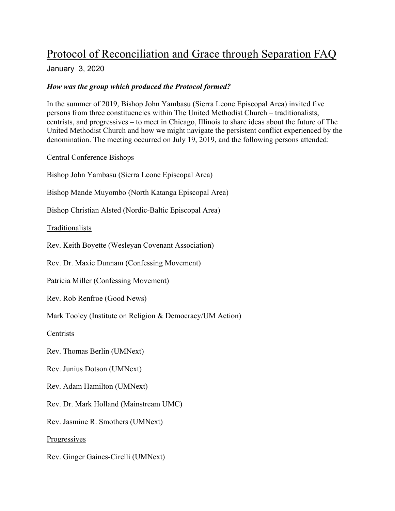# Protocol of Reconciliation and Grace through Separation FAQ

## January 3, 2020

## *How was the group which produced the Protocol formed?*

In the summer of 2019, Bishop John Yambasu (Sierra Leone Episcopal Area) invited five persons from three constituencies within The United Methodist Church – traditionalists, centrists, and progressives – to meet in Chicago, Illinois to share ideas about the future of The United Methodist Church and how we might navigate the persistent conflict experienced by the denomination. The meeting occurred on July 19, 2019, and the following persons attended:

Central Conference Bishops

Bishop John Yambasu (Sierra Leone Episcopal Area)

Bishop Mande Muyombo (North Katanga Episcopal Area)

Bishop Christian Alsted (Nordic-Baltic Episcopal Area)

Traditionalists

Rev. Keith Boyette (Wesleyan Covenant Association)

Rev. Dr. Maxie Dunnam (Confessing Movement)

Patricia Miller (Confessing Movement)

Rev. Rob Renfroe (Good News)

Mark Tooley (Institute on Religion & Democracy/UM Action)

**Centrists** 

Rev. Thomas Berlin (UMNext)

Rev. Junius Dotson (UMNext)

Rev. Adam Hamilton (UMNext)

Rev. Dr. Mark Holland (Mainstream UMC)

Rev. Jasmine R. Smothers (UMNext)

**Progressives** 

Rev. Ginger Gaines-Cirelli (UMNext)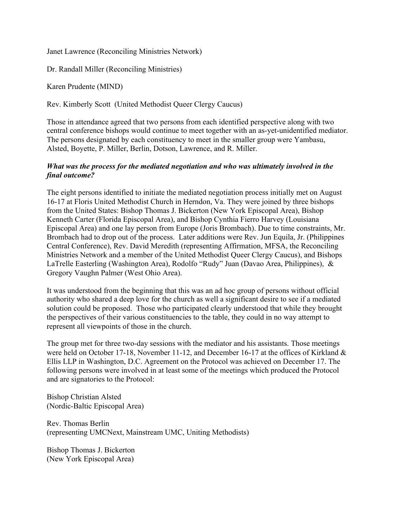Janet Lawrence (Reconciling Ministries Network)

Dr. Randall Miller (Reconciling Ministries)

Karen Prudente (MIND)

Rev. Kimberly Scott (United Methodist Queer Clergy Caucus)

Those in attendance agreed that two persons from each identified perspective along with two central conference bishops would continue to meet together with an as-yet-unidentified mediator. The persons designated by each constituency to meet in the smaller group were Yambasu, Alsted, Boyette, P. Miller, Berlin, Dotson, Lawrence, and R. Miller.

### *What was the process for the mediated negotiation and who was ultimately involved in the final outcome?*

The eight persons identified to initiate the mediated negotiation process initially met on August 16-17 at Floris United Methodist Church in Herndon, Va. They were joined by three bishops from the United States: Bishop Thomas J. Bickerton (New York Episcopal Area), Bishop Kenneth Carter (Florida Episcopal Area), and Bishop Cynthia Fierro Harvey (Louisiana Episcopal Area) and one lay person from Europe (Joris Brombach). Due to time constraints, Mr. Brombach had to drop out of the process. Later additions were Rev. Jun Equila, Jr. (Philippines Central Conference), Rev. David Meredith (representing Affirmation, MFSA, the Reconciling Ministries Network and a member of the United Methodist Queer Clergy Caucus), and Bishops LaTrelle Easterling (Washington Area), Rodolfo "Rudy" Juan (Davao Area, Philippines), & Gregory Vaughn Palmer (West Ohio Area).

It was understood from the beginning that this was an ad hoc group of persons without official authority who shared a deep love for the church as well a significant desire to see if a mediated solution could be proposed. Those who participated clearly understood that while they brought the perspectives of their various constituencies to the table, they could in no way attempt to represent all viewpoints of those in the church.

The group met for three two-day sessions with the mediator and his assistants. Those meetings were held on October 17-18, November 11-12, and December 16-17 at the offices of Kirkland & Ellis LLP in Washington, D.C. Agreement on the Protocol was achieved on December 17. The following persons were involved in at least some of the meetings which produced the Protocol and are signatories to the Protocol:

Bishop Christian Alsted (Nordic-Baltic Episcopal Area)

Rev. Thomas Berlin (representing UMCNext, Mainstream UMC, Uniting Methodists)

Bishop Thomas J. Bickerton (New York Episcopal Area)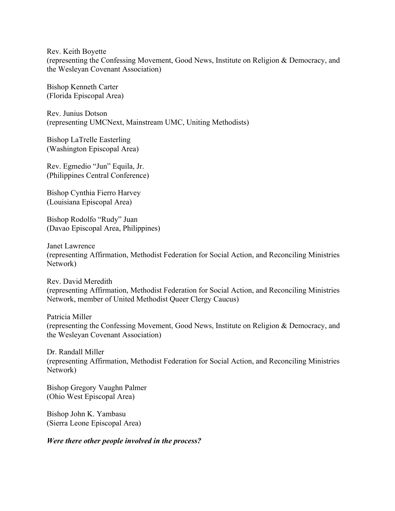Rev. Keith Boyette (representing the Confessing Movement, Good News, Institute on Religion & Democracy, and the Wesleyan Covenant Association)

Bishop Kenneth Carter (Florida Episcopal Area)

Rev. Junius Dotson (representing UMCNext, Mainstream UMC, Uniting Methodists)

Bishop LaTrelle Easterling (Washington Episcopal Area)

Rev. Egmedio "Jun" Equila, Jr. (Philippines Central Conference)

Bishop Cynthia Fierro Harvey (Louisiana Episcopal Area)

Bishop Rodolfo "Rudy" Juan (Davao Episcopal Area, Philippines)

Janet Lawrence (representing Affirmation, Methodist Federation for Social Action, and Reconciling Ministries Network)

Rev. David Meredith (representing Affirmation, Methodist Federation for Social Action, and Reconciling Ministries Network, member of United Methodist Queer Clergy Caucus)

Patricia Miller (representing the Confessing Movement, Good News, Institute on Religion & Democracy, and the Wesleyan Covenant Association)

Dr. Randall Miller (representing Affirmation, Methodist Federation for Social Action, and Reconciling Ministries Network)

Bishop Gregory Vaughn Palmer (Ohio West Episcopal Area)

Bishop John K. Yambasu (Sierra Leone Episcopal Area)

*Were there other people involved in the process?*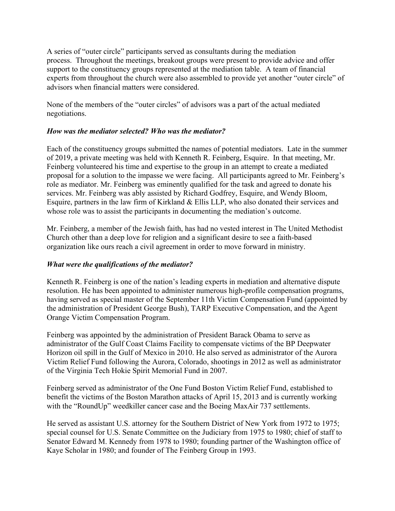A series of "outer circle" participants served as consultants during the mediation process. Throughout the meetings, breakout groups were present to provide advice and offer support to the constituency groups represented at the mediation table. A team of financial experts from throughout the church were also assembled to provide yet another "outer circle" of advisors when financial matters were considered.

None of the members of the "outer circles" of advisors was a part of the actual mediated negotiations.

## *How was the mediator selected? Who was the mediator?*

Each of the constituency groups submitted the names of potential mediators. Late in the summer of 2019, a private meeting was held with Kenneth R. Feinberg, Esquire. In that meeting, Mr. Feinberg volunteered his time and expertise to the group in an attempt to create a mediated proposal for a solution to the impasse we were facing. All participants agreed to Mr. Feinberg's role as mediator. Mr. Feinberg was eminently qualified for the task and agreed to donate his services. Mr. Feinberg was ably assisted by Richard Godfrey, Esquire, and Wendy Bloom, Esquire, partners in the law firm of Kirkland & Ellis LLP, who also donated their services and whose role was to assist the participants in documenting the mediation's outcome.

Mr. Feinberg, a member of the Jewish faith, has had no vested interest in The United Methodist Church other than a deep love for religion and a significant desire to see a faith-based organization like ours reach a civil agreement in order to move forward in ministry.

# *What were the qualifications of the mediator?*

Kenneth R. Feinberg is one of the nation's leading experts in mediation and alternative dispute resolution. He has been appointed to administer numerous high-profile compensation programs, having served as special master of the September 11th Victim Compensation Fund (appointed by the administration of President George Bush), TARP Executive Compensation, and the Agent Orange Victim Compensation Program.

Feinberg was appointed by the administration of President Barack Obama to serve as administrator of the Gulf Coast Claims Facility to compensate victims of the BP Deepwater Horizon oil spill in the Gulf of Mexico in 2010. He also served as administrator of the Aurora Victim Relief Fund following the Aurora, Colorado, shootings in 2012 as well as administrator of the Virginia Tech Hokie Spirit Memorial Fund in 2007.

Feinberg served as administrator of the One Fund Boston Victim Relief Fund, established to benefit the victims of the Boston Marathon attacks of April 15, 2013 and is currently working with the "RoundUp" weedkiller cancer case and the Boeing MaxAir 737 settlements.

He served as assistant U.S. attorney for the Southern District of New York from 1972 to 1975; special counsel for U.S. Senate Committee on the Judiciary from 1975 to 1980; chief of staff to Senator Edward M. Kennedy from 1978 to 1980; founding partner of the Washington office of Kaye Scholar in 1980; and founder of The Feinberg Group in 1993.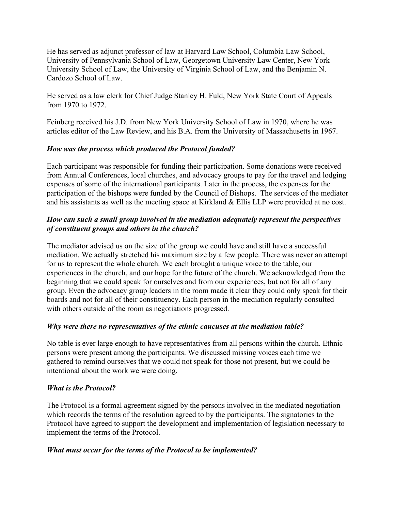He has served as adjunct professor of law at Harvard Law School, Columbia Law School, University of Pennsylvania School of Law, Georgetown University Law Center, New York University School of Law, the University of Virginia School of Law, and the Benjamin N. Cardozo School of Law.

He served as a law clerk for Chief Judge Stanley H. Fuld, New York State Court of Appeals from 1970 to 1972.

Feinberg received his J.D. from New York University School of Law in 1970, where he was articles editor of the Law Review, and his B.A. from the University of Massachusetts in 1967.

## *How was the process which produced the Protocol funded?*

Each participant was responsible for funding their participation. Some donations were received from Annual Conferences, local churches, and advocacy groups to pay for the travel and lodging expenses of some of the international participants. Later in the process, the expenses for the participation of the bishops were funded by the Council of Bishops. The services of the mediator and his assistants as well as the meeting space at Kirkland & Ellis LLP were provided at no cost.

# *How can such a small group involved in the mediation adequately represent the perspectives of constituent groups and others in the church?*

The mediator advised us on the size of the group we could have and still have a successful mediation. We actually stretched his maximum size by a few people. There was never an attempt for us to represent the whole church. We each brought a unique voice to the table, our experiences in the church, and our hope for the future of the church. We acknowledged from the beginning that we could speak for ourselves and from our experiences, but not for all of any group. Even the advocacy group leaders in the room made it clear they could only speak for their boards and not for all of their constituency. Each person in the mediation regularly consulted with others outside of the room as negotiations progressed.

## *Why were there no representatives of the ethnic caucuses at the mediation table?*

No table is ever large enough to have representatives from all persons within the church. Ethnic persons were present among the participants. We discussed missing voices each time we gathered to remind ourselves that we could not speak for those not present, but we could be intentional about the work we were doing.

## *What is the Protocol?*

The Protocol is a formal agreement signed by the persons involved in the mediated negotiation which records the terms of the resolution agreed to by the participants. The signatories to the Protocol have agreed to support the development and implementation of legislation necessary to implement the terms of the Protocol.

## *What must occur for the terms of the Protocol to be implemented?*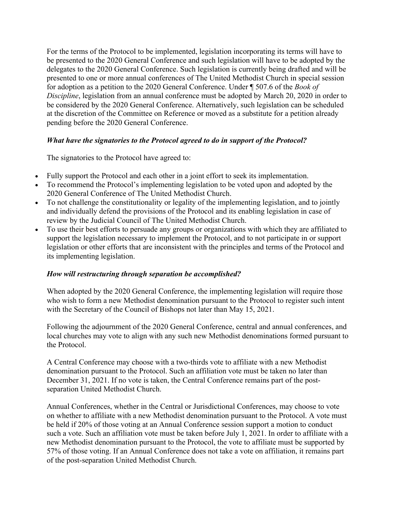For the terms of the Protocol to be implemented, legislation incorporating its terms will have to be presented to the 2020 General Conference and such legislation will have to be adopted by the delegates to the 2020 General Conference. Such legislation is currently being drafted and will be presented to one or more annual conferences of The United Methodist Church in special session for adoption as a petition to the 2020 General Conference. Under ¶ 507.6 of the *Book of Discipline*, legislation from an annual conference must be adopted by March 20, 2020 in order to be considered by the 2020 General Conference. Alternatively, such legislation can be scheduled at the discretion of the Committee on Reference or moved as a substitute for a petition already pending before the 2020 General Conference.

## *What have the signatories to the Protocol agreed to do in support of the Protocol?*

The signatories to the Protocol have agreed to:

- Fully support the Protocol and each other in a joint effort to seek its implementation.
- To recommend the Protocol's implementing legislation to be voted upon and adopted by the 2020 General Conference of The United Methodist Church.
- To not challenge the constitutionality or legality of the implementing legislation, and to jointly and individually defend the provisions of the Protocol and its enabling legislation in case of review by the Judicial Council of The United Methodist Church.
- To use their best efforts to persuade any groups or organizations with which they are affiliated to support the legislation necessary to implement the Protocol, and to not participate in or support legislation or other efforts that are inconsistent with the principles and terms of the Protocol and its implementing legislation.

## *How will restructuring through separation be accomplished?*

When adopted by the 2020 General Conference, the implementing legislation will require those who wish to form a new Methodist denomination pursuant to the Protocol to register such intent with the Secretary of the Council of Bishops not later than May 15, 2021.

Following the adjournment of the 2020 General Conference, central and annual conferences, and local churches may vote to align with any such new Methodist denominations formed pursuant to the Protocol.

A Central Conference may choose with a two-thirds vote to affiliate with a new Methodist denomination pursuant to the Protocol. Such an affiliation vote must be taken no later than December 31, 2021. If no vote is taken, the Central Conference remains part of the postseparation United Methodist Church.

Annual Conferences, whether in the Central or Jurisdictional Conferences, may choose to vote on whether to affiliate with a new Methodist denomination pursuant to the Protocol. A vote must be held if 20% of those voting at an Annual Conference session support a motion to conduct such a vote. Such an affiliation vote must be taken before July 1, 2021. In order to affiliate with a new Methodist denomination pursuant to the Protocol, the vote to affiliate must be supported by 57% of those voting. If an Annual Conference does not take a vote on affiliation, it remains part of the post-separation United Methodist Church.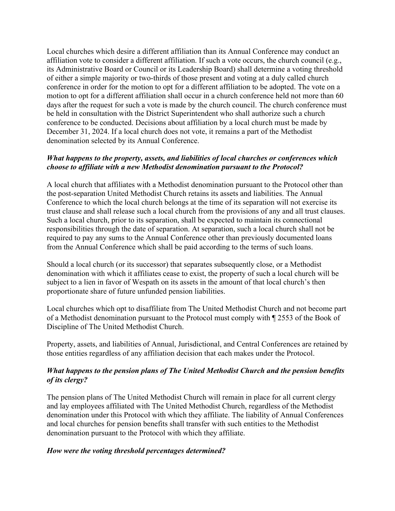Local churches which desire a different affiliation than its Annual Conference may conduct an affiliation vote to consider a different affiliation. If such a vote occurs, the church council (e.g., its Administrative Board or Council or its Leadership Board) shall determine a voting threshold of either a simple majority or two-thirds of those present and voting at a duly called church conference in order for the motion to opt for a different affiliation to be adopted. The vote on a motion to opt for a different affiliation shall occur in a church conference held not more than 60 days after the request for such a vote is made by the church council. The church conference must be held in consultation with the District Superintendent who shall authorize such a church conference to be conducted. Decisions about affiliation by a local church must be made by December 31, 2024. If a local church does not vote, it remains a part of the Methodist denomination selected by its Annual Conference.

### *What happens to the property, assets, and liabilities of local churches or conferences which choose to affiliate with a new Methodist denomination pursuant to the Protocol?*

A local church that affiliates with a Methodist denomination pursuant to the Protocol other than the post-separation United Methodist Church retains its assets and liabilities. The Annual Conference to which the local church belongs at the time of its separation will not exercise its trust clause and shall release such a local church from the provisions of any and all trust clauses. Such a local church, prior to its separation, shall be expected to maintain its connectional responsibilities through the date of separation. At separation, such a local church shall not be required to pay any sums to the Annual Conference other than previously documented loans from the Annual Conference which shall be paid according to the terms of such loans.

Should a local church (or its successor) that separates subsequently close, or a Methodist denomination with which it affiliates cease to exist, the property of such a local church will be subject to a lien in favor of Wespath on its assets in the amount of that local church's then proportionate share of future unfunded pension liabilities.

Local churches which opt to disaffiliate from The United Methodist Church and not become part of a Methodist denomination pursuant to the Protocol must comply with ¶ 2553 of the Book of Discipline of The United Methodist Church.

Property, assets, and liabilities of Annual, Jurisdictional, and Central Conferences are retained by those entities regardless of any affiliation decision that each makes under the Protocol.

## *What happens to the pension plans of The United Methodist Church and the pension benefits of its clergy?*

The pension plans of The United Methodist Church will remain in place for all current clergy and lay employees affiliated with The United Methodist Church, regardless of the Methodist denomination under this Protocol with which they affiliate. The liability of Annual Conferences and local churches for pension benefits shall transfer with such entities to the Methodist denomination pursuant to the Protocol with which they affiliate.

## *How were the voting threshold percentages determined?*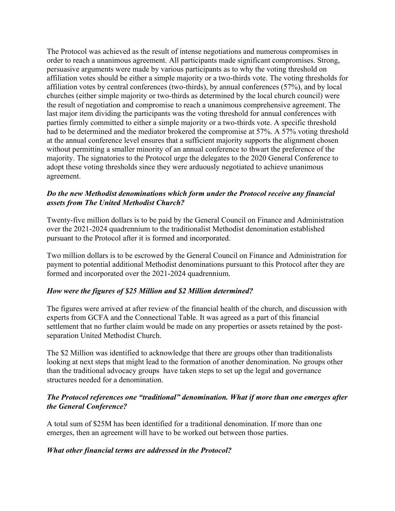The Protocol was achieved as the result of intense negotiations and numerous compromises in order to reach a unanimous agreement. All participants made significant compromises. Strong, persuasive arguments were made by various participants as to why the voting threshold on affiliation votes should be either a simple majority or a two-thirds vote. The voting thresholds for affiliation votes by central conferences (two-thirds), by annual conferences (57%), and by local churches (either simple majority or two-thirds as determined by the local church council) were the result of negotiation and compromise to reach a unanimous comprehensive agreement. The last major item dividing the participants was the voting threshold for annual conferences with parties firmly committed to either a simple majority or a two-thirds vote. A specific threshold had to be determined and the mediator brokered the compromise at 57%. A 57% voting threshold at the annual conference level ensures that a sufficient majority supports the alignment chosen without permitting a smaller minority of an annual conference to thwart the preference of the majority. The signatories to the Protocol urge the delegates to the 2020 General Conference to adopt these voting thresholds since they were arduously negotiated to achieve unanimous agreement.

## *Do the new Methodist denominations which form under the Protocol receive any financial assets from The United Methodist Church?*

Twenty-five million dollars is to be paid by the General Council on Finance and Administration over the 2021-2024 quadrennium to the traditionalist Methodist denomination established pursuant to the Protocol after it is formed and incorporated.

Two million dollars is to be escrowed by the General Council on Finance and Administration for payment to potential additional Methodist denominations pursuant to this Protocol after they are formed and incorporated over the 2021-2024 quadrennium.

# *How were the figures of \$25 Million and \$2 Million determined?*

The figures were arrived at after review of the financial health of the church, and discussion with experts from GCFA and the Connectional Table. It was agreed as a part of this financial settlement that no further claim would be made on any properties or assets retained by the postseparation United Methodist Church.

The \$2 Million was identified to acknowledge that there are groups other than traditionalists looking at next steps that might lead to the formation of another denomination. No groups other than the traditional advocacy groups have taken steps to set up the legal and governance structures needed for a denomination.

## *The Protocol references one "traditional" denomination. What if more than one emerges after the General Conference?*

A total sum of \$25M has been identified for a traditional denomination. If more than one emerges, then an agreement will have to be worked out between those parties.

## *What other financial terms are addressed in the Protocol?*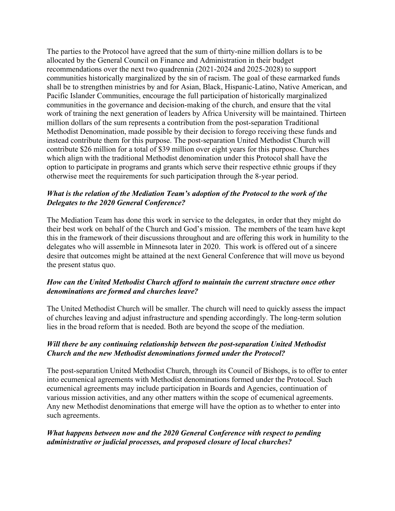The parties to the Protocol have agreed that the sum of thirty-nine million dollars is to be allocated by the General Council on Finance and Administration in their budget recommendations over the next two quadrennia (2021-2024 and 2025-2028) to support communities historically marginalized by the sin of racism. The goal of these earmarked funds shall be to strengthen ministries by and for Asian, Black, Hispanic-Latino, Native American, and Pacific Islander Communities, encourage the full participation of historically marginalized communities in the governance and decision-making of the church, and ensure that the vital work of training the next generation of leaders by Africa University will be maintained. Thirteen million dollars of the sum represents a contribution from the post-separation Traditional Methodist Denomination, made possible by their decision to forego receiving these funds and instead contribute them for this purpose. The post-separation United Methodist Church will contribute \$26 million for a total of \$39 million over eight years for this purpose. Churches which align with the traditional Methodist denomination under this Protocol shall have the option to participate in programs and grants which serve their respective ethnic groups if they otherwise meet the requirements for such participation through the 8-year period.

## *What is the relation of the Mediation Team's adoption of the Protocol to the work of the Delegates to the 2020 General Conference?*

The Mediation Team has done this work in service to the delegates, in order that they might do their best work on behalf of the Church and God's mission. The members of the team have kept this in the framework of their discussions throughout and are offering this work in humility to the delegates who will assemble in Minnesota later in 2020. This work is offered out of a sincere desire that outcomes might be attained at the next General Conference that will move us beyond the present status quo.

## *How can the United Methodist Church afford to maintain the current structure once other denominations are formed and churches leave?*

The United Methodist Church will be smaller. The church will need to quickly assess the impact of churches leaving and adjust infrastructure and spending accordingly. The long-term solution lies in the broad reform that is needed. Both are beyond the scope of the mediation.

## *Will there be any continuing relationship between the post-separation United Methodist Church and the new Methodist denominations formed under the Protocol?*

The post-separation United Methodist Church, through its Council of Bishops, is to offer to enter into ecumenical agreements with Methodist denominations formed under the Protocol. Such ecumenical agreements may include participation in Boards and Agencies, continuation of various mission activities, and any other matters within the scope of ecumenical agreements. Any new Methodist denominations that emerge will have the option as to whether to enter into such agreements.

## *What happens between now and the 2020 General Conference with respect to pending administrative or judicial processes, and proposed closure of local churches?*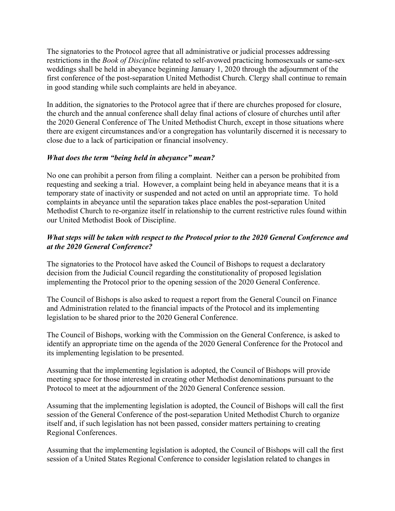The signatories to the Protocol agree that all administrative or judicial processes addressing restrictions in the *Book of Discipline* related to self-avowed practicing homosexuals or same-sex weddings shall be held in abeyance beginning January 1, 2020 through the adjournment of the first conference of the post-separation United Methodist Church. Clergy shall continue to remain in good standing while such complaints are held in abeyance.

In addition, the signatories to the Protocol agree that if there are churches proposed for closure, the church and the annual conference shall delay final actions of closure of churches until after the 2020 General Conference of The United Methodist Church, except in those situations where there are exigent circumstances and/or a congregation has voluntarily discerned it is necessary to close due to a lack of participation or financial insolvency.

#### *What does the term "being held in abeyance" mean?*

No one can prohibit a person from filing a complaint. Neither can a person be prohibited from requesting and seeking a trial. However, a complaint being held in abeyance means that it is a temporary state of inactivity or suspended and not acted on until an appropriate time. To hold complaints in abeyance until the separation takes place enables the post-separation United Methodist Church to re-organize itself in relationship to the current restrictive rules found within our United Methodist Book of Discipline.

## *What steps will be taken with respect to the Protocol prior to the 2020 General Conference and at the 2020 General Conference?*

The signatories to the Protocol have asked the Council of Bishops to request a declaratory decision from the Judicial Council regarding the constitutionality of proposed legislation implementing the Protocol prior to the opening session of the 2020 General Conference.

The Council of Bishops is also asked to request a report from the General Council on Finance and Administration related to the financial impacts of the Protocol and its implementing legislation to be shared prior to the 2020 General Conference.

The Council of Bishops, working with the Commission on the General Conference, is asked to identify an appropriate time on the agenda of the 2020 General Conference for the Protocol and its implementing legislation to be presented.

Assuming that the implementing legislation is adopted, the Council of Bishops will provide meeting space for those interested in creating other Methodist denominations pursuant to the Protocol to meet at the adjournment of the 2020 General Conference session.

Assuming that the implementing legislation is adopted, the Council of Bishops will call the first session of the General Conference of the post-separation United Methodist Church to organize itself and, if such legislation has not been passed, consider matters pertaining to creating Regional Conferences.

Assuming that the implementing legislation is adopted, the Council of Bishops will call the first session of a United States Regional Conference to consider legislation related to changes in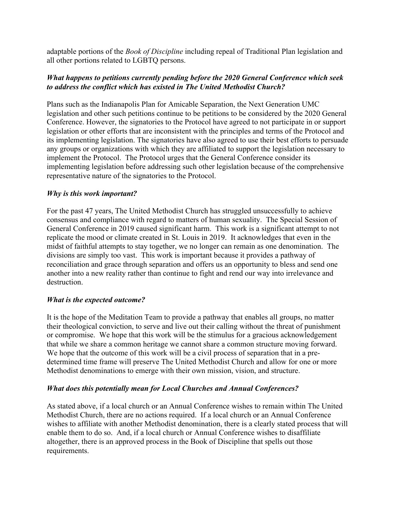adaptable portions of the *Book of Discipline* including repeal of Traditional Plan legislation and all other portions related to LGBTQ persons.

## *What happens to petitions currently pending before the 2020 General Conference which seek to address the conflict which has existed in The United Methodist Church?*

Plans such as the Indianapolis Plan for Amicable Separation, the Next Generation UMC legislation and other such petitions continue to be petitions to be considered by the 2020 General Conference. However, the signatories to the Protocol have agreed to not participate in or support legislation or other efforts that are inconsistent with the principles and terms of the Protocol and its implementing legislation. The signatories have also agreed to use their best efforts to persuade any groups or organizations with which they are affiliated to support the legislation necessary to implement the Protocol. The Protocol urges that the General Conference consider its implementing legislation before addressing such other legislation because of the comprehensive representative nature of the signatories to the Protocol.

## *Why is this work important?*

For the past 47 years, The United Methodist Church has struggled unsuccessfully to achieve consensus and compliance with regard to matters of human sexuality. The Special Session of General Conference in 2019 caused significant harm. This work is a significant attempt to not replicate the mood or climate created in St. Louis in 2019. It acknowledges that even in the midst of faithful attempts to stay together, we no longer can remain as one denomination. The divisions are simply too vast. This work is important because it provides a pathway of reconciliation and grace through separation and offers us an opportunity to bless and send one another into a new reality rather than continue to fight and rend our way into irrelevance and destruction.

## *What is the expected outcome?*

It is the hope of the Meditation Team to provide a pathway that enables all groups, no matter their theological conviction, to serve and live out their calling without the threat of punishment or compromise. We hope that this work will be the stimulus for a gracious acknowledgement that while we share a common heritage we cannot share a common structure moving forward. We hope that the outcome of this work will be a civil process of separation that in a predetermined time frame will preserve The United Methodist Church and allow for one or more Methodist denominations to emerge with their own mission, vision, and structure.

## *What does this potentially mean for Local Churches and Annual Conferences?*

As stated above, if a local church or an Annual Conference wishes to remain within The United Methodist Church, there are no actions required. If a local church or an Annual Conference wishes to affiliate with another Methodist denomination, there is a clearly stated process that will enable them to do so. And, if a local church or Annual Conference wishes to disaffiliate altogether, there is an approved process in the Book of Discipline that spells out those requirements.